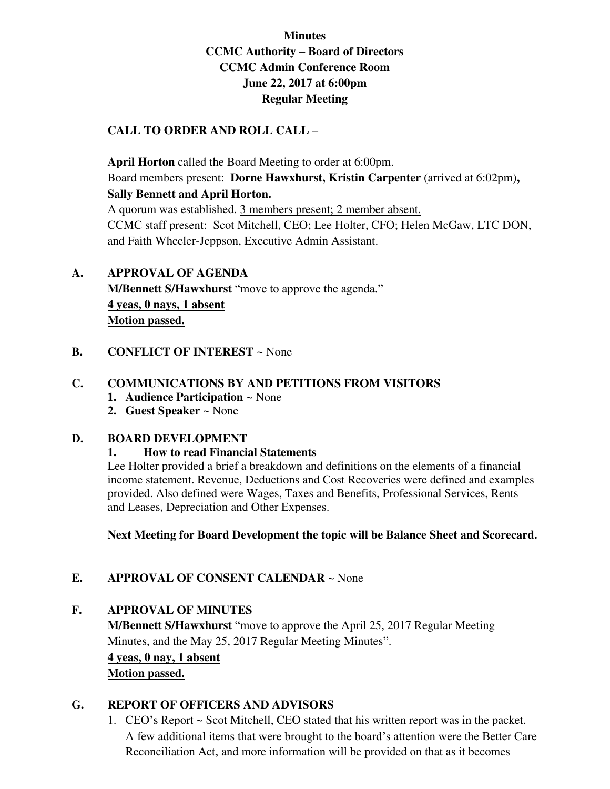# **Minutes CCMC Authority – Board of Directors CCMC Admin Conference Room June 22, 2017 at 6:00pm Regular Meeting**

## **CALL TO ORDER AND ROLL CALL –**

 **April Horton** called the Board Meeting to order at 6:00pm. Board members present: **Dorne Hawxhurst, Kristin Carpenter** (arrived at 6:02pm)**, Sally Bennett and April Horton.** 

A quorum was established. 3 members present; 2 member absent. CCMC staff present: Scot Mitchell, CEO; Lee Holter, CFO; Helen McGaw, LTC DON, and Faith Wheeler-Jeppson, Executive Admin Assistant.

# **A. APPROVAL OF AGENDA M/Bennett S/Hawxhurst** "move to approve the agenda." **4 yeas, 0 nays, 1 absent**

**Motion passed.** 

**B. CONFLICT OF INTEREST** ~ None

## **C. COMMUNICATIONS BY AND PETITIONS FROM VISITORS**

- **1. Audience Participation** ~ None
- **2. Guest Speaker** ~ None

#### **D. BOARD DEVELOPMENT**

 **1. How to read Financial Statements** 

Lee Holter provided a brief a breakdown and definitions on the elements of a financial income statement. Revenue, Deductions and Cost Recoveries were defined and examples provided. Also defined were Wages, Taxes and Benefits, Professional Services, Rents and Leases, Depreciation and Other Expenses.

**Next Meeting for Board Development the topic will be Balance Sheet and Scorecard.** 

# **E. APPROVAL OF CONSENT CALENDAR** ~ None

#### **F. APPROVAL OF MINUTES**

**M/Bennett S/Hawxhurst** "move to approve the April 25, 2017 Regular Meeting Minutes, and the May 25, 2017 Regular Meeting Minutes".

**4 yeas, 0 nay, 1 absent Motion passed.** 

#### **G. REPORT OF OFFICERS AND ADVISORS**

1. CEO's Report ~ Scot Mitchell, CEO stated that his written report was in the packet. A few additional items that were brought to the board's attention were the Better Care Reconciliation Act, and more information will be provided on that as it becomes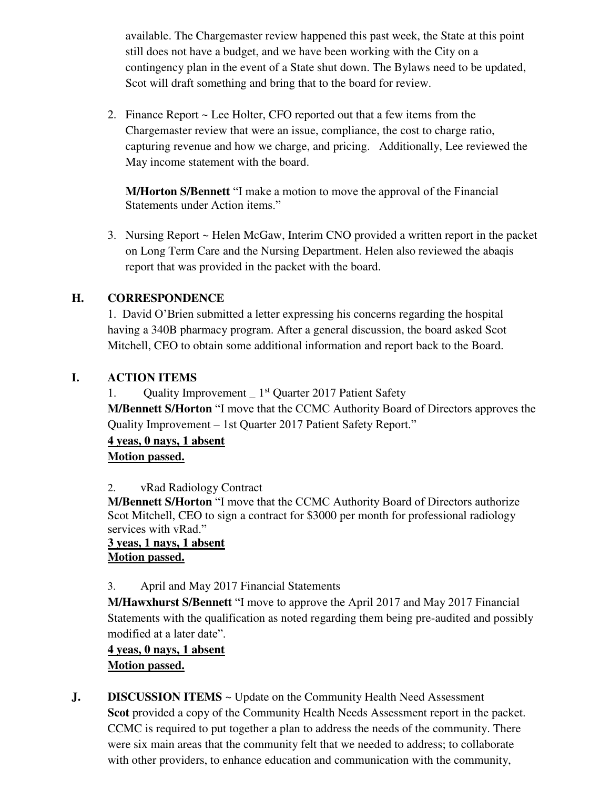available. The Chargemaster review happened this past week, the State at this point still does not have a budget, and we have been working with the City on a contingency plan in the event of a State shut down. The Bylaws need to be updated, Scot will draft something and bring that to the board for review.

2. Finance Report ~ Lee Holter, CFO reported out that a few items from the Chargemaster review that were an issue, compliance, the cost to charge ratio, capturing revenue and how we charge, and pricing. Additionally, Lee reviewed the May income statement with the board.

**M/Horton S/Bennett** "I make a motion to move the approval of the Financial Statements under Action items."

3. Nursing Report ~ Helen McGaw, Interim CNO provided a written report in the packet on Long Term Care and the Nursing Department. Helen also reviewed the abaqis report that was provided in the packet with the board.

# **H. CORRESPONDENCE**

1. David O'Brien submitted a letter expressing his concerns regarding the hospital having a 340B pharmacy program. After a general discussion, the board asked Scot Mitchell, CEO to obtain some additional information and report back to the Board.

# **I. ACTION ITEMS**

1. Quality Improvement \_ 1<sup>st</sup> Quarter 2017 Patient Safety

**M/Bennett S/Horton** "I move that the CCMC Authority Board of Directors approves the Quality Improvement – 1st Quarter 2017 Patient Safety Report."

**4 yeas, 0 nays, 1 absent Motion passed.** 

# 2. vRad Radiology Contract

**M/Bennett S/Horton** "I move that the CCMC Authority Board of Directors authorize Scot Mitchell, CEO to sign a contract for \$3000 per month for professional radiology services with vRad."

## **3 yeas, 1 nays, 1 absent Motion passed.**

# 3. April and May 2017 Financial Statements

**M/Hawxhurst S/Bennett** "I move to approve the April 2017 and May 2017 Financial Statements with the qualification as noted regarding them being pre-audited and possibly modified at a later date".

# **4 yeas, 0 nays, 1 absent Motion passed.**

**J. DISCUSSION ITEMS** ~ Update on the Community Health Need Assessment **Scot** provided a copy of the Community Health Needs Assessment report in the packet. CCMC is required to put together a plan to address the needs of the community. There were six main areas that the community felt that we needed to address; to collaborate with other providers, to enhance education and communication with the community,